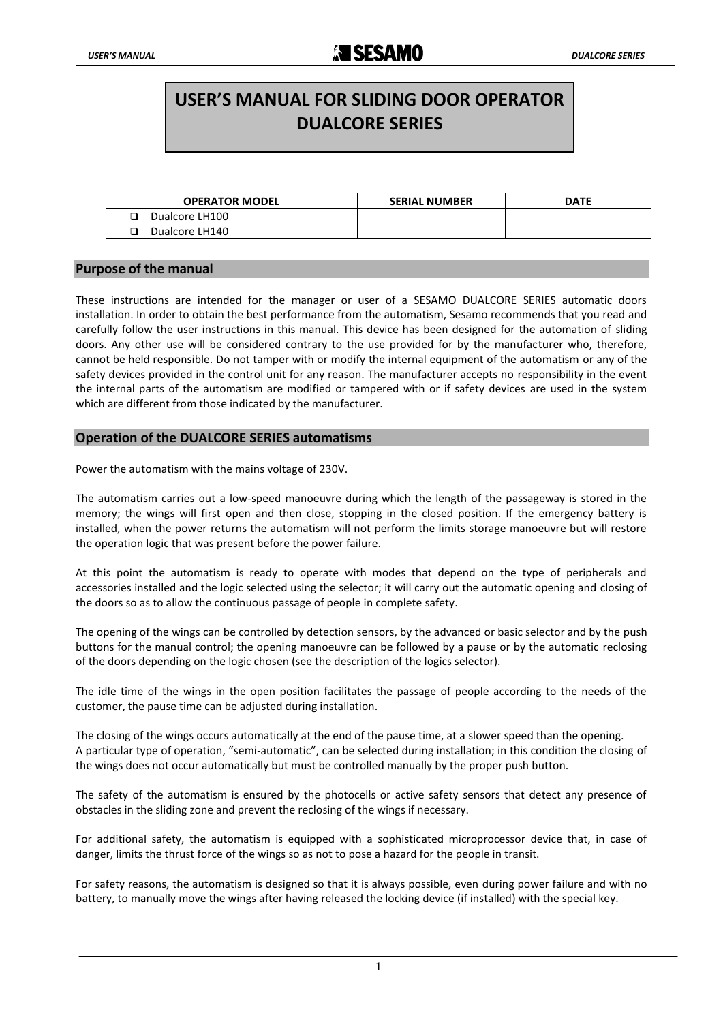# **USER'S MANUAL FOR SLIDING DOOR OPERATOR DUALCORE SERIES**

| <b>OPERATOR MODEL</b> | <b>SERIAL NUMBER</b> | <b>DATE</b> |
|-----------------------|----------------------|-------------|
| Dualcore LH100        |                      |             |
| Dualcore LH140        |                      |             |

## **Purpose of the manual**

These instructions are intended for the manager or user of a SESAMO DUALCORE SERIES automatic doors installation. In order to obtain the best performance from the automatism, Sesamo recommends that you read and carefully follow the user instructions in this manual. This device has been designed for the automation of sliding doors. Any other use will be considered contrary to the use provided for by the manufacturer who, therefore, cannot be held responsible. Do not tamper with or modify the internal equipment of the automatism or any of the safety devices provided in the control unit for any reason. The manufacturer accepts no responsibility in the event the internal parts of the automatism are modified or tampered with or if safety devices are used in the system which are different from those indicated by the manufacturer.

### **Operation of the DUALCORE SERIES automatisms**

Power the automatism with the mains voltage of 230V.

The automatism carries out a low-speed manoeuvre during which the length of the passageway is stored in the memory; the wings will first open and then close, stopping in the closed position. If the emergency battery is installed, when the power returns the automatism will not perform the limits storage manoeuvre but will restore the operation logic that was present before the power failure.

At this point the automatism is ready to operate with modes that depend on the type of peripherals and accessories installed and the logic selected using the selector; it will carry out the automatic opening and closing of the doors so as to allow the continuous passage of people in complete safety.

The opening of the wings can be controlled by detection sensors, by the advanced or basic selector and by the push buttons for the manual control; the opening manoeuvre can be followed by a pause or by the automatic reclosing of the doors depending on the logic chosen (see the description of the logics selector).

The idle time of the wings in the open position facilitates the passage of people according to the needs of the customer, the pause time can be adjusted during installation.

The closing of the wings occurs automatically at the end of the pause time, at a slower speed than the opening. A particular type of operation, "semi-automatic", can be selected during installation; in this condition the closing of the wings does not occur automatically but must be controlled manually by the proper push button.

The safety of the automatism is ensured by the photocells or active safety sensors that detect any presence of obstacles in the sliding zone and prevent the reclosing of the wings if necessary.

For additional safety, the automatism is equipped with a sophisticated microprocessor device that, in case of danger, limits the thrust force of the wings so as not to pose a hazard for the people in transit.

For safety reasons, the automatism is designed so that it is always possible, even during power failure and with no battery, to manually move the wings after having released the locking device (if installed) with the special key.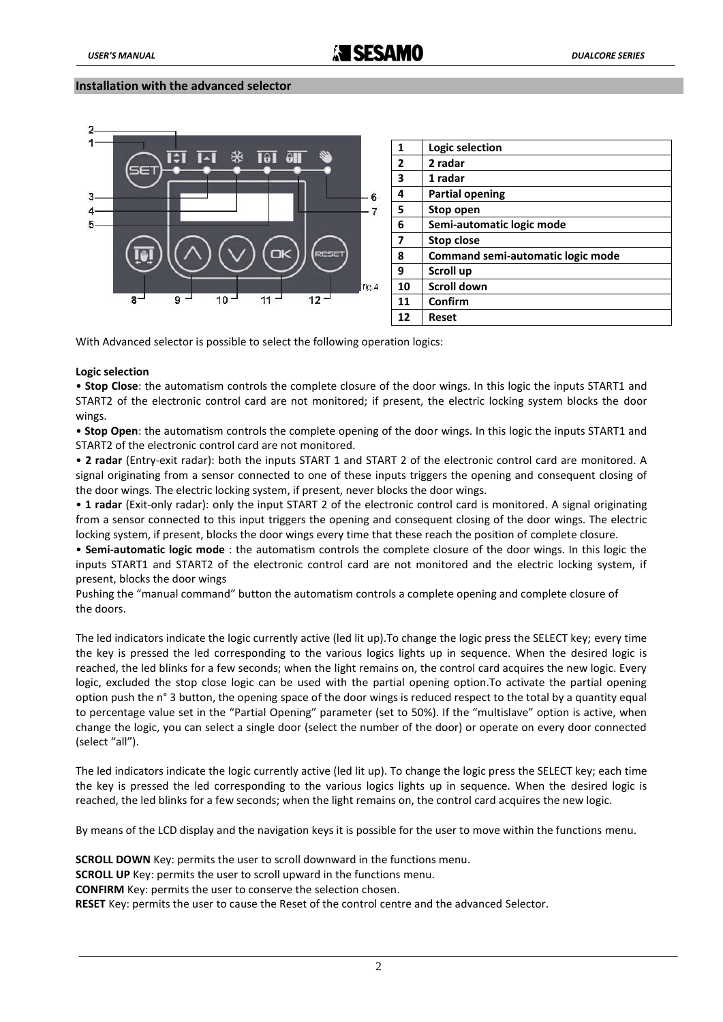## **Installation with the advanced selector**



With Advanced selector is possible to select the following operation logics:

#### **Logic selection**

• **Stop Close**: the automatism controls the complete closure of the door wings. In this logic the inputs START1 and START2 of the electronic control card are not monitored; if present, the electric locking system blocks the door wings.

• **Stop Open**: the automatism controls the complete opening of the door wings. In this logic the inputs START1 and START2 of the electronic control card are not monitored.

• **2 radar** (Entry-exit radar): both the inputs START 1 and START 2 of the electronic control card are monitored. A signal originating from a sensor connected to one of these inputs triggers the opening and consequent closing of the door wings. The electric locking system, if present, never blocks the door wings.

• **1 radar** (Exit-only radar): only the input START 2 of the electronic control card is monitored. A signal originating from a sensor connected to this input triggers the opening and consequent closing of the door wings. The electric locking system, if present, blocks the door wings every time that these reach the position of complete closure.

• **Semi-automatic logic mode** : the automatism controls the complete closure of the door wings. In this logic the inputs START1 and START2 of the electronic control card are not monitored and the electric locking system, if present, blocks the door wings

Pushing the "manual command" button the automatism controls a complete opening and complete closure of the doors.

The led indicators indicate the logic currently active (led lit up).To change the logic press the SELECT key; every time the key is pressed the led corresponding to the various logics lights up in sequence. When the desired logic is reached, the led blinks for a few seconds; when the light remains on, the control card acquires the new logic. Every logic, excluded the stop close logic can be used with the partial opening option.To activate the partial opening option push the n° 3 button, the opening space of the door wings is reduced respect to the total by a quantity equal to percentage value set in the "Partial Opening" parameter (set to 50%). If the "multislave" option is active, when change the logic, you can select a single door (select the number of the door) or operate on every door connected (select "all").

The led indicators indicate the logic currently active (led lit up). To change the logic press the SELECT key; each time the key is pressed the led corresponding to the various logics lights up in sequence. When the desired logic is reached, the led blinks for a few seconds; when the light remains on, the control card acquires the new logic.

By means of the LCD display and the navigation keys it is possible for the user to move within the functions menu.

**SCROLL DOWN** Key: permits the user to scroll downward in the functions menu.

**SCROLL UP** Key: permits the user to scroll upward in the functions menu.

**CONFIRM** Key: permits the user to conserve the selection chosen.

 **RESET** Key: permits the user to cause the Reset of the control centre and the advanced Selector.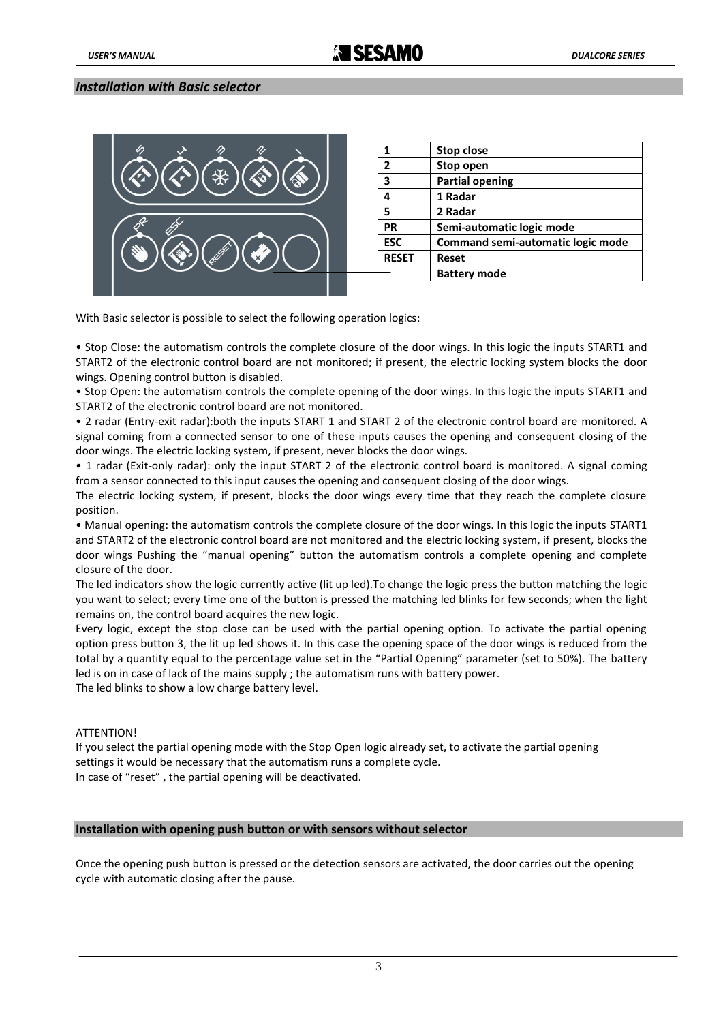# *Installation with Basic selector*



|              | Stop close                        |
|--------------|-----------------------------------|
| 2            | Stop open                         |
| 3            | <b>Partial opening</b>            |
| 4            | 1 Radar                           |
| 5            | 2 Radar                           |
| <b>PR</b>    | Semi-automatic logic mode         |
| <b>ESC</b>   | Command semi-automatic logic mode |
| <b>RESET</b> | Reset                             |
|              | <b>Battery mode</b>               |

With Basic selector is possible to select the following operation logics:

• Stop Close: the automatism controls the complete closure of the door wings. In this logic the inputs START1 and START2 of the electronic control board are not monitored; if present, the electric locking system blocks the door wings. Opening control button is disabled.

• Stop Open: the automatism controls the complete opening of the door wings. In this logic the inputs START1 and START2 of the electronic control board are not monitored.

• 2 radar (Entry-exit radar):both the inputs START 1 and START 2 of the electronic control board are monitored. A signal coming from a connected sensor to one of these inputs causes the opening and consequent closing of the door wings. The electric locking system, if present, never blocks the door wings.

• 1 radar (Exit-only radar): only the input START 2 of the electronic control board is monitored. A signal coming from a sensor connected to this input causes the opening and consequent closing of the door wings.

The electric locking system, if present, blocks the door wings every time that they reach the complete closure position.

• Manual opening: the automatism controls the complete closure of the door wings. In this logic the inputs START1 and START2 of the electronic control board are not monitored and the electric locking system, if present, blocks the door wings Pushing the "manual opening" button the automatism controls a complete opening and complete closure of the door.

The led indicators show the logic currently active (lit up led).To change the logic press the button matching the logic you want to select; every time one of the button is pressed the matching led blinks for few seconds; when the light remains on, the control board acquires the new logic.

Every logic, except the stop close can be used with the partial opening option. To activate the partial opening option press button 3, the lit up led shows it. In this case the opening space of the door wings is reduced from the total by a quantity equal to the percentage value set in the "Partial Opening" parameter (set to 50%). The battery led is on in case of lack of the mains supply ; the automatism runs with battery power.

The led blinks to show a low charge battery level.

#### ATTENTION!

If you select the partial opening mode with the Stop Open logic already set, to activate the partial opening settings it would be necessary that the automatism runs a complete cycle. In case of "reset" , the partial opening will be deactivated.

#### **Installation with opening push button or with sensors without selector**

Once the opening push button is pressed or the detection sensors are activated, the door carries out the opening cycle with automatic closing after the pause.